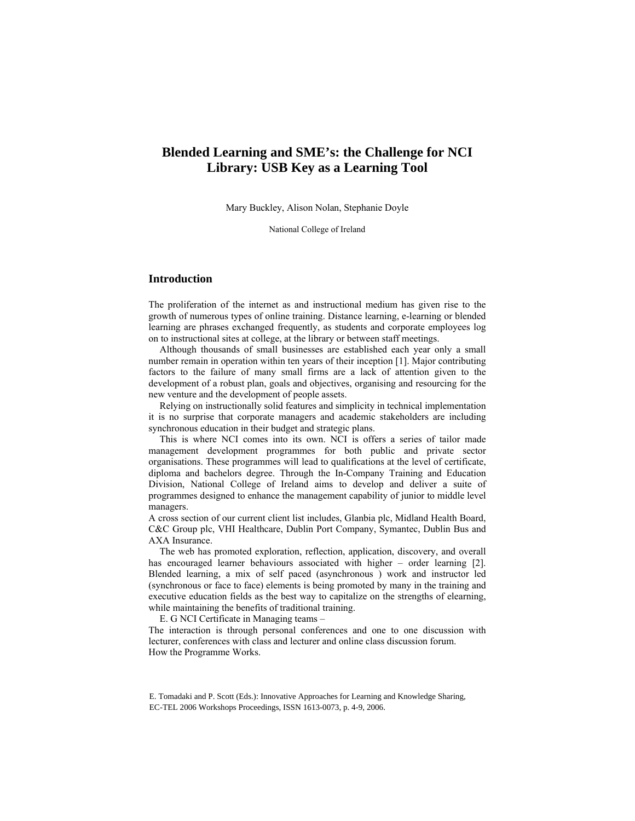# **Blended Learning and SME's: the Challenge for NCI Library: USB Key as a Learning Tool**

Mary Buckley, Alison Nolan, Stephanie Doyle

National College of Ireland

# **Introduction**

The proliferation of the internet as and instructional medium has given rise to the growth of numerous types of online training. Distance learning, e-learning or blended learning are phrases exchanged frequently, as students and corporate employees log on to instructional sites at college, at the library or between staff meetings.

Although thousands of small businesses are established each year only a small number remain in operation within ten years of their inception [1]. Major contributing factors to the failure of many small firms are a lack of attention given to the development of a robust plan, goals and objectives, organising and resourcing for the new venture and the development of people assets.

Relying on instructionally solid features and simplicity in technical implementation it is no surprise that corporate managers and academic stakeholders are including synchronous education in their budget and strategic plans.

This is where NCI comes into its own. NCI is offers a series of tailor made management development programmes for both public and private sector organisations. These programmes will lead to qualifications at the level of certificate, diploma and bachelors degree. Through the In-Company Training and Education Division, National College of Ireland aims to develop and deliver a suite of programmes designed to enhance the management capability of junior to middle level managers.

A cross section of our current client list includes, Glanbia plc, Midland Health Board, C&C Group plc, VHI Healthcare, Dublin Port Company, Symantec, Dublin Bus and AXA Insurance.

The web has promoted exploration, reflection, application, discovery, and overall has encouraged learner behaviours associated with higher – order learning [2]. Blended learning, a mix of self paced (asynchronous ) work and instructor led (synchronous or face to face) elements is being promoted by many in the training and executive education fields as the best way to capitalize on the strengths of elearning, while maintaining the benefits of traditional training.

E. G NCI Certificate in Managing teams –

The interaction is through personal conferences and one to one discussion with lecturer, conferences with class and lecturer and online class discussion forum. How the Programme Works.

E. Tomadaki and P. Scott (Eds.): Innovative Approaches for Learning and Knowledge Sharing, EC-TEL 2006 Workshops Proceedings, ISSN 1613-0073, p. 4-9, 2006.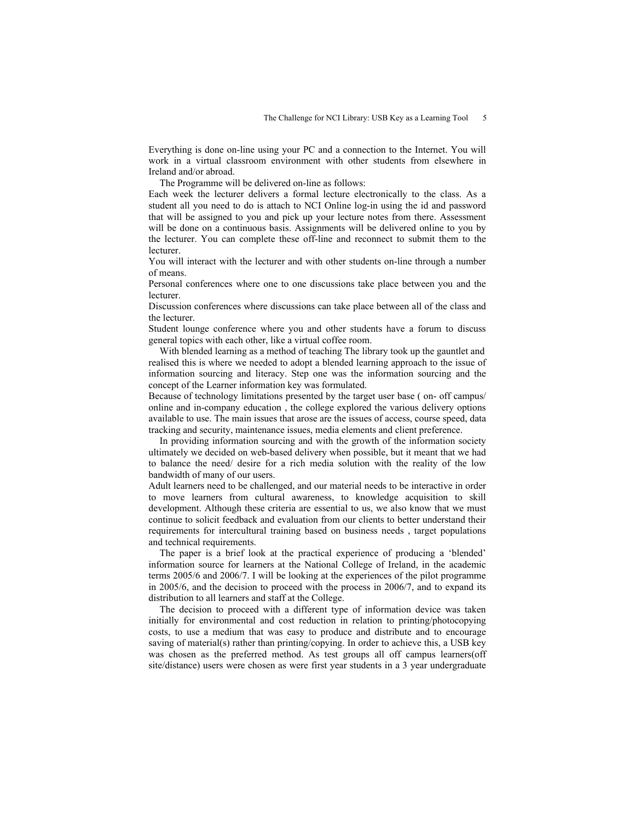Everything is done on-line using your PC and a connection to the Internet. You will work in a virtual classroom environment with other students from elsewhere in Ireland and/or abroad.

The Programme will be delivered on-line as follows:

Each week the lecturer delivers a formal lecture electronically to the class. As a student all you need to do is attach to NCI Online log-in using the id and password that will be assigned to you and pick up your lecture notes from there. Assessment will be done on a continuous basis. Assignments will be delivered online to you by the lecturer. You can complete these off-line and reconnect to submit them to the lecturer.

You will interact with the lecturer and with other students on-line through a number of means.

Personal conferences where one to one discussions take place between you and the lecturer.

Discussion conferences where discussions can take place between all of the class and the lecturer.

Student lounge conference where you and other students have a forum to discuss general topics with each other, like a virtual coffee room.

With blended learning as a method of teaching The library took up the gauntlet and realised this is where we needed to adopt a blended learning approach to the issue of information sourcing and literacy. Step one was the information sourcing and the concept of the Learner information key was formulated.

Because of technology limitations presented by the target user base ( on- off campus/ online and in-company education , the college explored the various delivery options available to use. The main issues that arose are the issues of access, course speed, data tracking and security, maintenance issues, media elements and client preference.

In providing information sourcing and with the growth of the information society ultimately we decided on web-based delivery when possible, but it meant that we had to balance the need/ desire for a rich media solution with the reality of the low bandwidth of many of our users.

Adult learners need to be challenged, and our material needs to be interactive in order to move learners from cultural awareness, to knowledge acquisition to skill development. Although these criteria are essential to us, we also know that we must continue to solicit feedback and evaluation from our clients to better understand their requirements for intercultural training based on business needs , target populations and technical requirements.

The paper is a brief look at the practical experience of producing a 'blended' information source for learners at the National College of Ireland, in the academic terms 2005/6 and 2006/7. I will be looking at the experiences of the pilot programme in 2005/6, and the decision to proceed with the process in 2006/7, and to expand its distribution to all learners and staff at the College.

The decision to proceed with a different type of information device was taken initially for environmental and cost reduction in relation to printing/photocopying costs, to use a medium that was easy to produce and distribute and to encourage saving of material(s) rather than printing/copying. In order to achieve this, a USB key was chosen as the preferred method. As test groups all off campus learners(off site/distance) users were chosen as were first year students in a 3 year undergraduate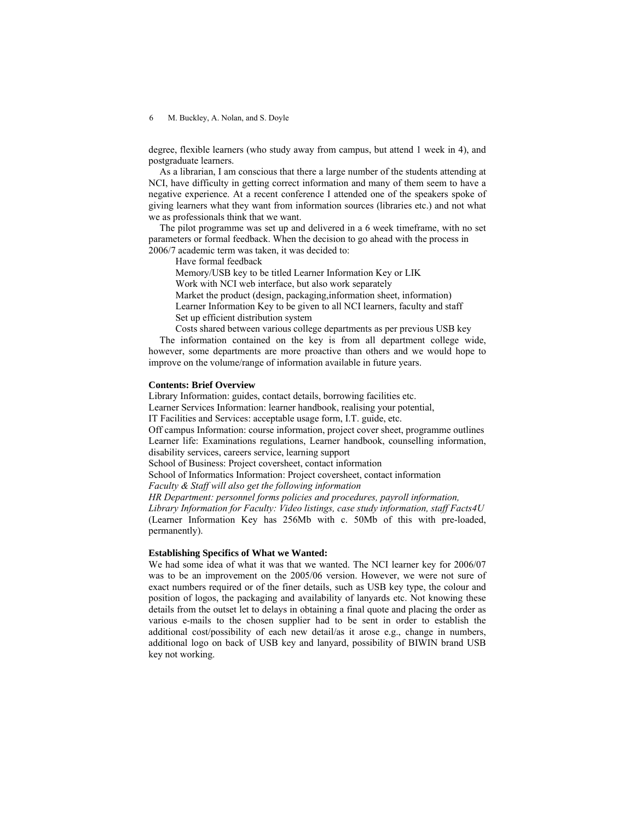## 6 M. Buckley, A. Nolan, and S. Doyle

degree, flexible learners (who study away from campus, but attend 1 week in 4), and postgraduate learners.

As a librarian, I am conscious that there a large number of the students attending at NCI, have difficulty in getting correct information and many of them seem to have a negative experience. At a recent conference I attended one of the speakers spoke of giving learners what they want from information sources (libraries etc.) and not what we as professionals think that we want.

The pilot programme was set up and delivered in a 6 week timeframe, with no set parameters or formal feedback. When the decision to go ahead with the process in 2006/7 academic term was taken, it was decided to:

Have formal feedback

Memory/USB key to be titled Learner Information Key or LIK

Work with NCI web interface, but also work separately

Market the product (design, packaging,information sheet, information) Learner Information Key to be given to all NCI learners, faculty and staff Set up efficient distribution system

Costs shared between various college departments as per previous USB key

The information contained on the key is from all department college wide, however, some departments are more proactive than others and we would hope to improve on the volume/range of information available in future years.

#### **Contents: Brief Overview**

Library Information: guides, contact details, borrowing facilities etc.

Learner Services Information: learner handbook, realising your potential,

IT Facilities and Services: acceptable usage form, I.T. guide, etc.

Off campus Information: course information, project cover sheet, programme outlines Learner life: Examinations regulations, Learner handbook, counselling information, disability services, careers service, learning support

School of Business: Project coversheet, contact information

School of Informatics Information: Project coversheet, contact information

*Faculty & Staff will also get the following information* 

*HR Department: personnel forms policies and procedures, payroll information, Library Information for Faculty: Video listings, case study information, staff Facts4U*  (Learner Information Key has 256Mb with c. 50Mb of this with pre-loaded, permanently).

# **Establishing Specifics of What we Wanted:**

We had some idea of what it was that we wanted. The NCI learner key for 2006/07 was to be an improvement on the 2005/06 version. However, we were not sure of exact numbers required or of the finer details, such as USB key type, the colour and position of logos, the packaging and availability of lanyards etc. Not knowing these details from the outset let to delays in obtaining a final quote and placing the order as various e-mails to the chosen supplier had to be sent in order to establish the additional cost/possibility of each new detail/as it arose e.g., change in numbers, additional logo on back of USB key and lanyard, possibility of BIWIN brand USB key not working.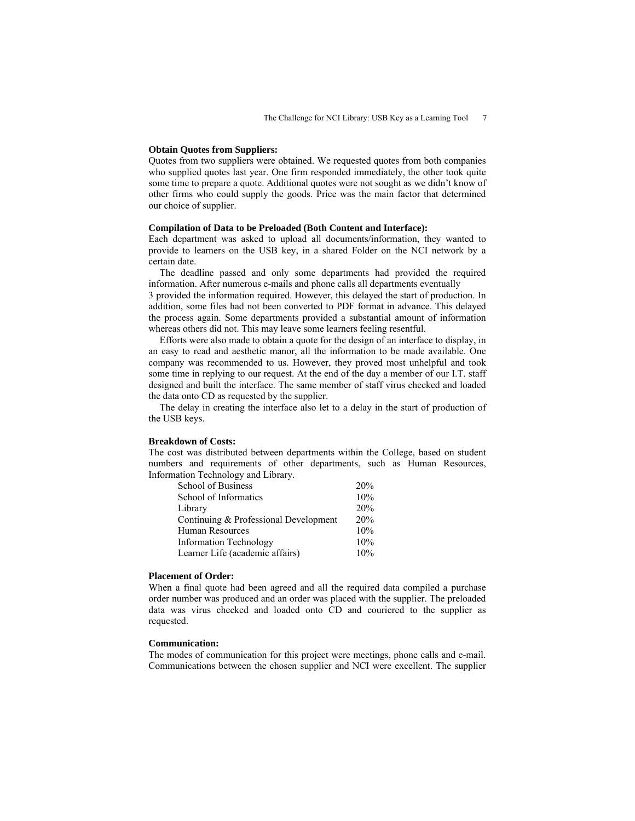#### **Obtain Quotes from Suppliers:**

Quotes from two suppliers were obtained. We requested quotes from both companies who supplied quotes last year. One firm responded immediately, the other took quite some time to prepare a quote. Additional quotes were not sought as we didn't know of other firms who could supply the goods. Price was the main factor that determined our choice of supplier.

## **Compilation of Data to be Preloaded (Both Content and Interface):**

Each department was asked to upload all documents/information, they wanted to provide to learners on the USB key, in a shared Folder on the NCI network by a certain date.

The deadline passed and only some departments had provided the required information. After numerous e-mails and phone calls all departments eventually

3 provided the information required. However, this delayed the start of production. In addition, some files had not been converted to PDF format in advance. This delayed the process again. Some departments provided a substantial amount of information whereas others did not. This may leave some learners feeling resentful.

Efforts were also made to obtain a quote for the design of an interface to display, in an easy to read and aesthetic manor, all the information to be made available. One company was recommended to us. However, they proved most unhelpful and took some time in replying to our request. At the end of the day a member of our I.T. staff designed and built the interface. The same member of staff virus checked and loaded the data onto CD as requested by the supplier.

The delay in creating the interface also let to a delay in the start of production of the USB keys.

## **Breakdown of Costs:**

The cost was distributed between departments within the College, based on student numbers and requirements of other departments, such as Human Resources, Information Technology and Library.

| School of Business                    | 20% |
|---------------------------------------|-----|
| School of Informatics                 | 10% |
| Library                               | 20% |
| Continuing & Professional Development | 20% |
| Human Resources                       | 10% |
| <b>Information Technology</b>         | 10% |
| Learner Life (academic affairs)       | 10% |

#### **Placement of Order:**

When a final quote had been agreed and all the required data compiled a purchase order number was produced and an order was placed with the supplier. The preloaded data was virus checked and loaded onto CD and couriered to the supplier as requested.

## **Communication:**

The modes of communication for this project were meetings, phone calls and e-mail. Communications between the chosen supplier and NCI were excellent. The supplier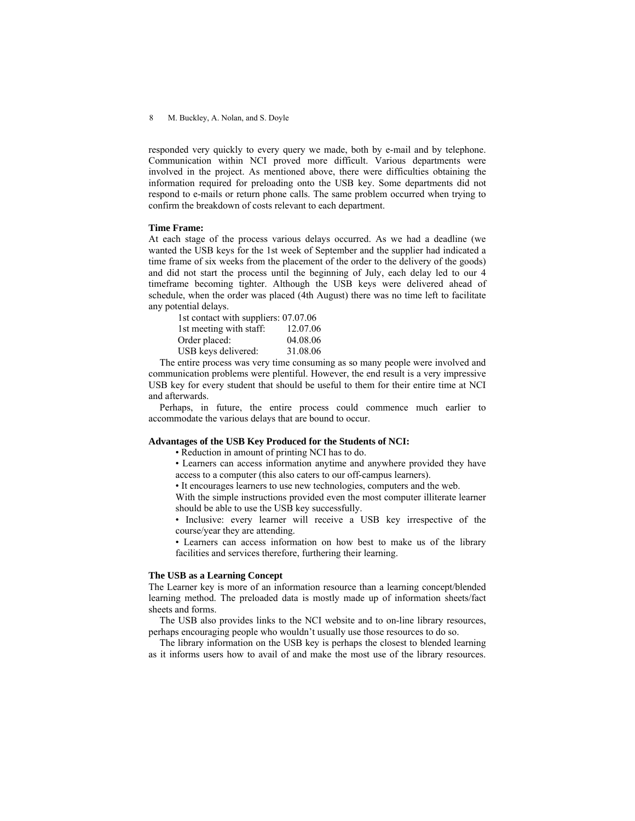### 8 M. Buckley, A. Nolan, and S. Doyle

responded very quickly to every query we made, both by e-mail and by telephone. Communication within NCI proved more difficult. Various departments were involved in the project. As mentioned above, there were difficulties obtaining the information required for preloading onto the USB key. Some departments did not respond to e-mails or return phone calls. The same problem occurred when trying to confirm the breakdown of costs relevant to each department.

## **Time Frame:**

At each stage of the process various delays occurred. As we had a deadline (we wanted the USB keys for the 1st week of September and the supplier had indicated a time frame of six weeks from the placement of the order to the delivery of the goods) and did not start the process until the beginning of July, each delay led to our 4 timeframe becoming tighter. Although the USB keys were delivered ahead of schedule, when the order was placed (4th August) there was no time left to facilitate any potential delays.

| 1st contact with suppliers: 07.07.06 |          |
|--------------------------------------|----------|
| 1st meeting with staff:              | 12.07.06 |
| Order placed:                        | 04.08.06 |
| USB keys delivered:                  | 31.08.06 |

The entire process was very time consuming as so many people were involved and communication problems were plentiful. However, the end result is a very impressive USB key for every student that should be useful to them for their entire time at NCI and afterwards.

Perhaps, in future, the entire process could commence much earlier to accommodate the various delays that are bound to occur.

## **Advantages of the USB Key Produced for the Students of NCI:**

• Reduction in amount of printing NCI has to do.

• Learners can access information anytime and anywhere provided they have access to a computer (this also caters to our off-campus learners).

• It encourages learners to use new technologies, computers and the web.

With the simple instructions provided even the most computer illiterate learner should be able to use the USB key successfully.

• Inclusive: every learner will receive a USB key irrespective of the course/year they are attending.

• Learners can access information on how best to make us of the library facilities and services therefore, furthering their learning.

#### **The USB as a Learning Concept**

The Learner key is more of an information resource than a learning concept/blended learning method. The preloaded data is mostly made up of information sheets/fact sheets and forms.

The USB also provides links to the NCI website and to on-line library resources, perhaps encouraging people who wouldn't usually use those resources to do so.

The library information on the USB key is perhaps the closest to blended learning as it informs users how to avail of and make the most use of the library resources.